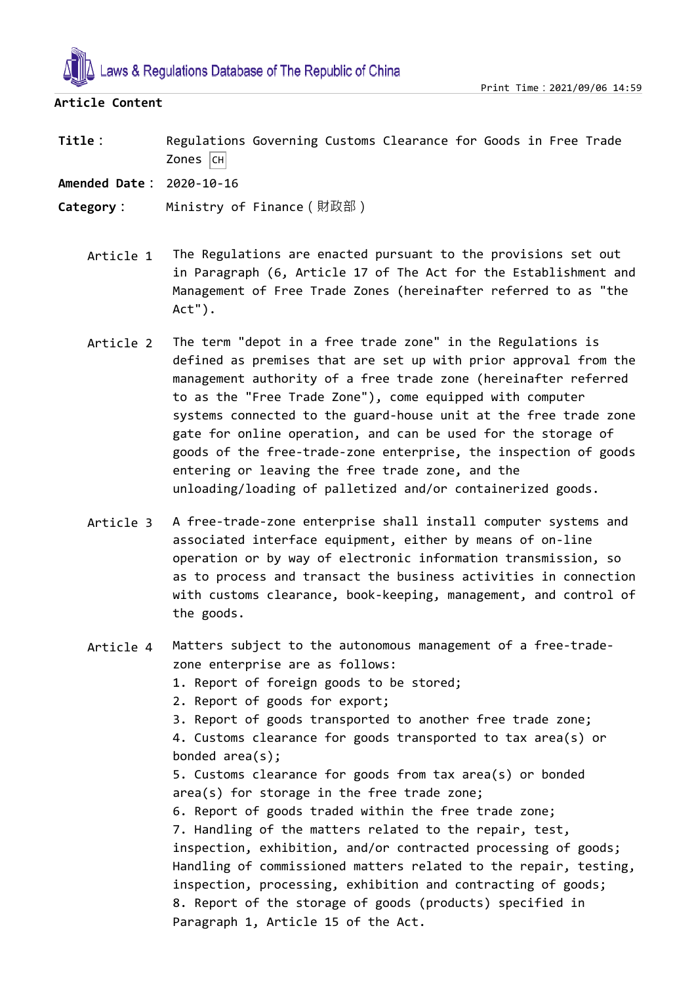

## **Article Content**

**Title:** Regulations Governing Customs Clearance for Goods in Free Trade  $Zones$   $|CH|$ 

**Amended Date:** 2020-10-16

**Category:** Ministry of Finance(財政部)

- Article 1 The Regulations are enacted pursuant to the provisions set out in Paragraph (6, Article 17 of The Act for the Establishment and Management of Free Trade Zones (hereinafter referred to as "the Act").
- Article 2 The term "depot in a free trade zone" in the Regulations is defined as premises that are set up with prior approval from the management authority of a free trade zone (hereinafter referred to as the "Free Trade Zone"), come equipped with computer systems connected to the guard-house unit at the free trade zone gate for online operation, and can be used for the storage of goods of the free-trade-zone enterprise, the inspection of goods entering or leaving the free trade zone, and the unloading/loading of palletized and/or containerized goods.
- Article 3 A free-trade-zone enterprise shall install computer systems and associated interface equipment, either by means of on-line operation or by way of electronic information transmission, so as to process and transact the business activities in connection with customs clearance, book-keeping, management, and control of the goods.
- Article 4 Matters subject to the autonomous management of a free-tradezone enterprise are as follows:
	- 1. Report of foreign goods to be stored;
	- 2. Report of goods for export;
	- 3. Report of goods transported to another free trade zone;

4. Customs clearance for goods transported to tax area(s) or bonded area(s);

5. Customs clearance for goods from tax area(s) or bonded area(s) for storage in the free trade zone;

6. Report of goods traded within the free trade zone; 7. Handling of the matters related to the repair, test, inspection, exhibition, and/or contracted processing of goods; Handling of commissioned matters related to the repair, testing, inspection, processing, exhibition and contracting of goods; 8. Report of the storage of goods (products) specified in Paragraph 1, Article 15 of the Act.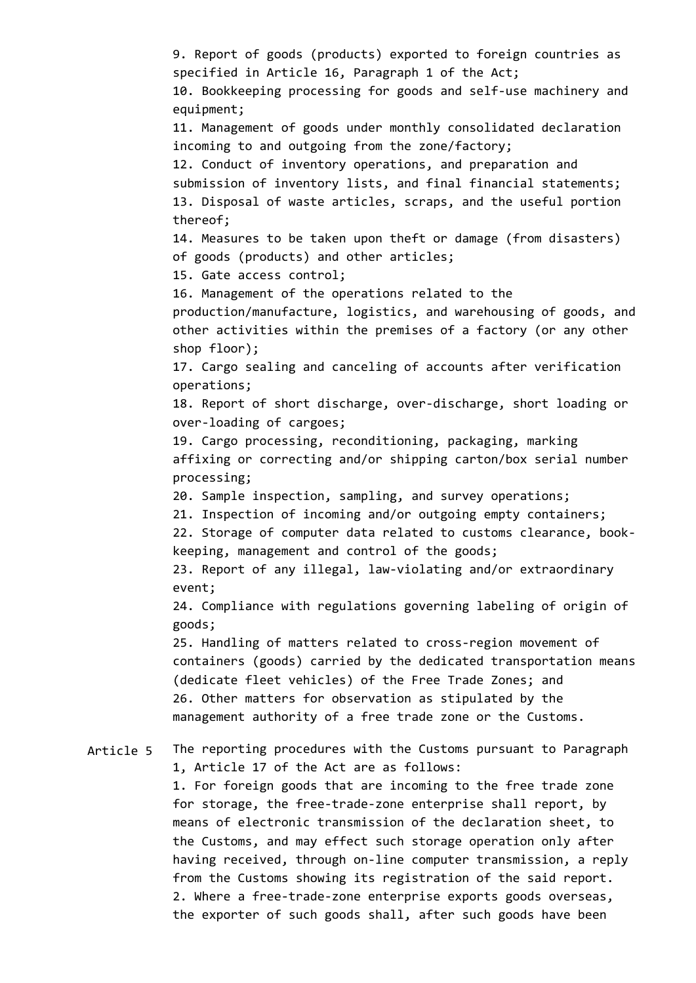Article 5 9. Report of goods (products) exported to foreign countries as specified in Article 16, Paragraph 1 of the Act; 10. Bookkeeping processing for goods and self-use machinery and equipment; 11. Management of goods under monthly consolidated declaration incoming to and outgoing from the zone/factory; 12. Conduct of inventory operations, and preparation and submission of inventory lists, and final financial statements; 13. Disposal of waste articles, scraps, and the useful portion thereof; 14. Measures to be taken upon theft or damage (from disasters) of goods (products) and other articles; 15. Gate access control; 16. Management of the operations related to the production/manufacture, logistics, and warehousing of goods, and other activities within the premises of a factory (or any other shop floor); 17. Cargo sealing and canceling of accounts after verification operations; 18. Report of short discharge, over-discharge, short loading or over-loading of cargoes; 19. Cargo processing, reconditioning, packaging, marking affixing or correcting and/or shipping carton/box serial number processing; 20. Sample inspection, sampling, and survey operations; 21. Inspection of incoming and/or outgoing empty containers; 22. Storage of computer data related to customs clearance, bookkeeping, management and control of the goods; 23. Report of any illegal, law-violating and/or extraordinary event; 24. Compliance with regulations governing labeling of origin of goods; 25. Handling of matters related to cross-region movement of containers (goods) carried by the dedicated transportation means (dedicate fleet vehicles) of the Free Trade Zones; and 26. Other matters for observation as stipulated by the management authority of a free trade zone or the Customs. The reporting procedures with the Customs pursuant to Paragraph 1, Article 17 of the Act are as follows: 1. For foreign goods that are incoming to the free trade zone for storage, the free-trade-zone enterprise shall report, by means of electronic transmission of the declaration sheet, to the Customs, and may effect such storage operation only after having received, through on-line computer transmission, a reply

> 2. Where a free-trade-zone enterprise exports goods overseas, the exporter of such goods shall, after such goods have been

from the Customs showing its registration of the said report.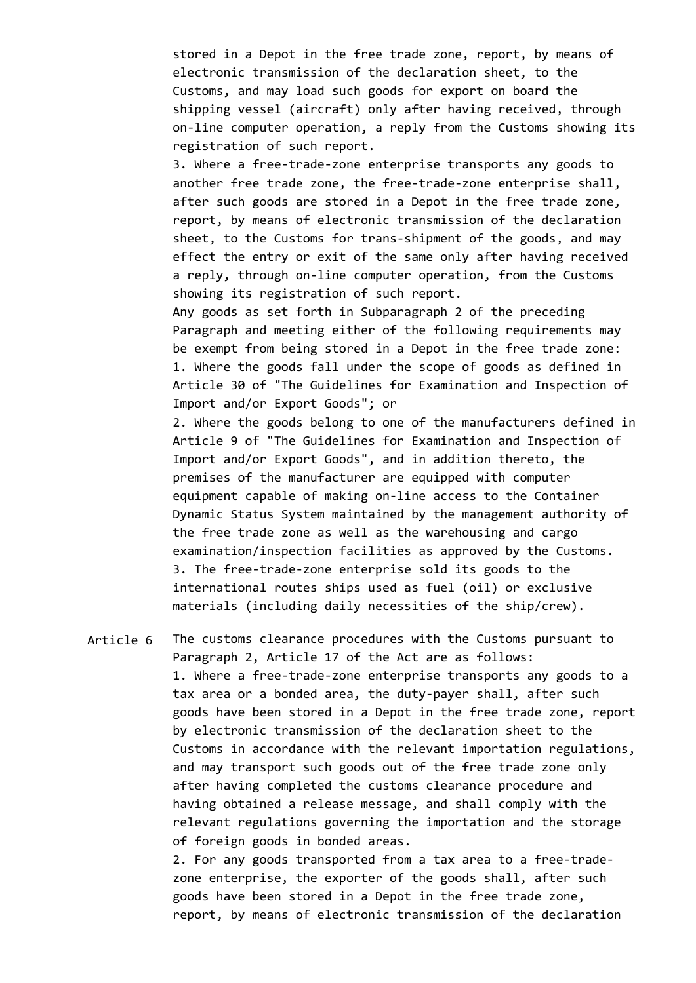stored in a Depot in the free trade zone, report, by means of electronic transmission of the declaration sheet, to the Customs, and may load such goods for export on board the shipping vessel (aircraft) only after having received, through on-line computer operation, a reply from the Customs showing its registration of such report.

3. Where a free-trade-zone enterprise transports any goods to another free trade zone, the free-trade-zone enterprise shall, after such goods are stored in a Depot in the free trade zone, report, by means of electronic transmission of the declaration sheet, to the Customs for trans-shipment of the goods, and may effect the entry or exit of the same only after having received a reply, through on-line computer operation, from the Customs showing its registration of such report.

Any goods as set forth in Subparagraph 2 of the preceding Paragraph and meeting either of the following requirements may be exempt from being stored in a Depot in the free trade zone: 1. Where the goods fall under the scope of goods as defined in Article 30 of "The Guidelines for Examination and Inspection of Import and/or Export Goods"; or

2. Where the goods belong to one of the manufacturers defined in Article 9 of "The Guidelines for Examination and Inspection of Import and/or Export Goods", and in addition thereto, the premises of the manufacturer are equipped with computer equipment capable of making on-line access to the Container Dynamic Status System maintained by the management authority of the free trade zone as well as the warehousing and cargo examination/inspection facilities as approved by the Customs. 3. The free-trade-zone enterprise sold its goods to the international routes ships used as fuel (oil) or exclusive materials (including daily necessities of the ship/crew).

Article 6 The customs clearance procedures with the Customs pursuant to Paragraph 2, Article 17 of the Act are as follows: 1. Where a free-trade-zone enterprise transports any goods to a tax area or a bonded area, the duty-payer shall, after such goods have been stored in a Depot in the free trade zone, report by electronic transmission of the declaration sheet to the Customs in accordance with the relevant importation regulations, and may transport such goods out of the free trade zone only after having completed the customs clearance procedure and having obtained a release message, and shall comply with the relevant regulations governing the importation and the storage of foreign goods in bonded areas.

> 2. For any goods transported from a tax area to a free-tradezone enterprise, the exporter of the goods shall, after such goods have been stored in a Depot in the free trade zone, report, by means of electronic transmission of the declaration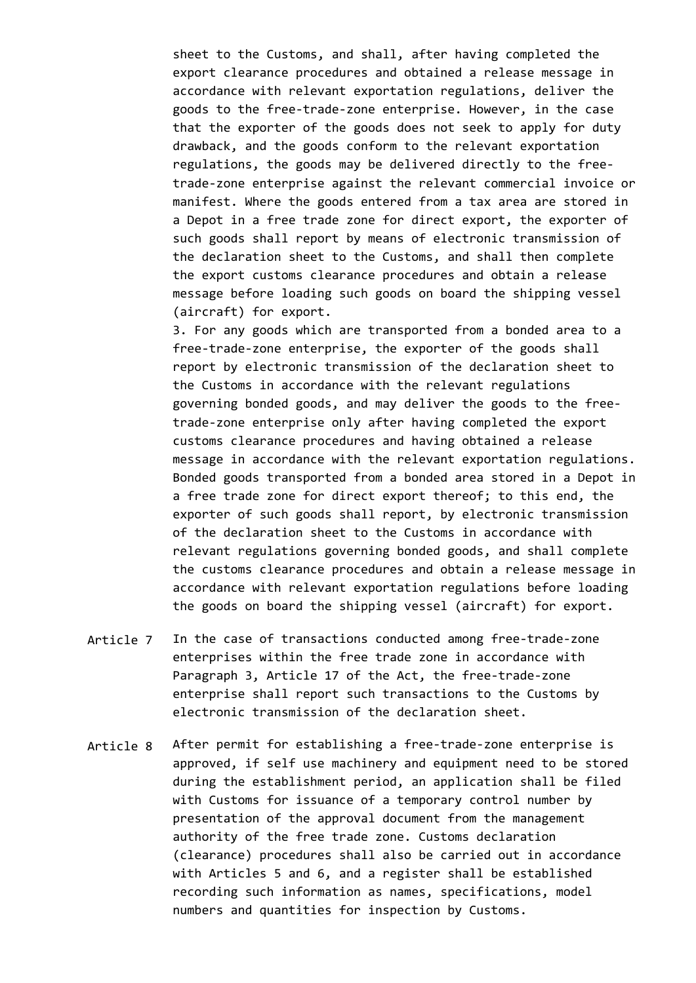sheet to the Customs, and shall, after having completed the export clearance procedures and obtained a release message in accordance with relevant exportation regulations, deliver the goods to the free-trade-zone enterprise. However, in the case that the exporter of the goods does not seek to apply for duty drawback, and the goods conform to the relevant exportation regulations, the goods may be delivered directly to the freetrade-zone enterprise against the relevant commercial invoice or manifest. Where the goods entered from a tax area are stored in a Depot in a free trade zone for direct export, the exporter of such goods shall report by means of electronic transmission of the declaration sheet to the Customs, and shall then complete the export customs clearance procedures and obtain a release message before loading such goods on board the shipping vessel (aircraft) for export.

3. For any goods which are transported from a bonded area to a free-trade-zone enterprise, the exporter of the goods shall report by electronic transmission of the declaration sheet to the Customs in accordance with the relevant regulations governing bonded goods, and may deliver the goods to the freetrade-zone enterprise only after having completed the export customs clearance procedures and having obtained a release message in accordance with the relevant exportation regulations. Bonded goods transported from a bonded area stored in a Depot in a free trade zone for direct export thereof; to this end, the exporter of such goods shall report, by electronic transmission of the declaration sheet to the Customs in accordance with relevant regulations governing bonded goods, and shall complete the customs clearance procedures and obtain a release message in accordance with relevant exportation regulations before loading the goods on board the shipping vessel (aircraft) for export.

- Article 7 In the case of transactions conducted among free-trade-zone enterprises within the free trade zone in accordance with Paragraph 3, Article 17 of the Act, the free-trade-zone enterprise shall report such transactions to the Customs by electronic transmission of the declaration sheet.
- Article 8 After permit for establishing a free-trade-zone enterprise is approved, if self use machinery and equipment need to be stored during the establishment period, an application shall be filed with Customs for issuance of a temporary control number by presentation of the approval document from the management authority of the free trade zone. Customs declaration (clearance) procedures shall also be carried out in accordance with Articles 5 and 6, and a register shall be established recording such information as names, specifications, model numbers and quantities for inspection by Customs.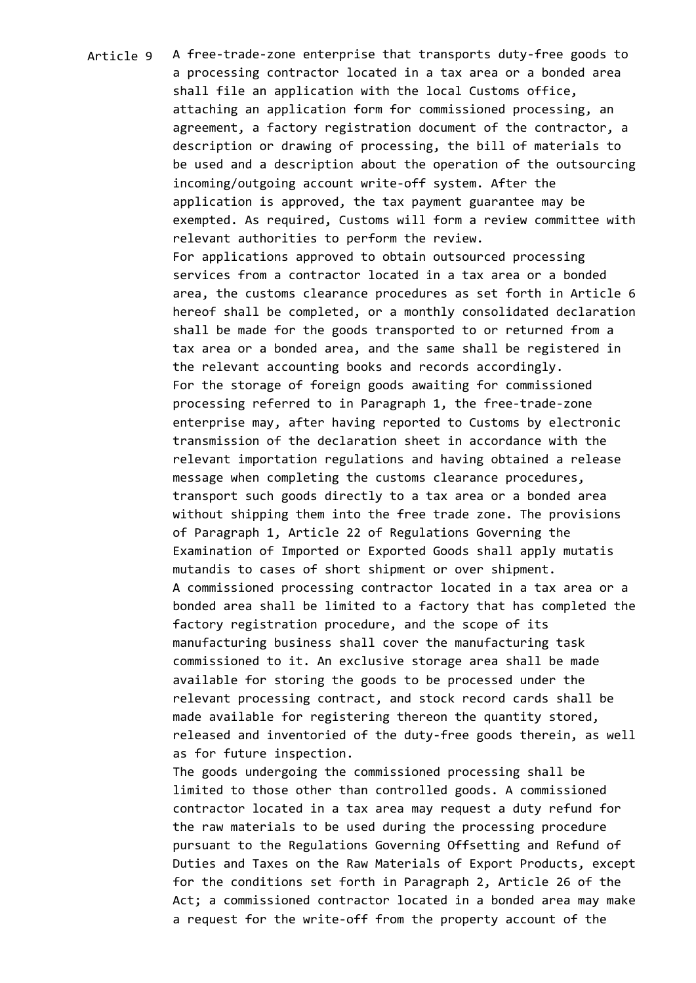Article 9 A free-trade-zone enterprise that transports duty-free goods to a processing contractor located in a tax area or a bonded area shall file an application with the local Customs office, attaching an application form for commissioned processing, an agreement, a factory registration document of the contractor, a description or drawing of processing, the bill of materials to be used and a description about the operation of the outsourcing incoming/outgoing account write-off system. After the application is approved, the tax payment guarantee may be exempted. As required, Customs will form a review committee with relevant authorities to perform the review. For applications approved to obtain outsourced processing services from a contractor located in a tax area or a bonded area, the customs clearance procedures as set forth in Article 6 hereof shall be completed, or a monthly consolidated declaration shall be made for the goods transported to or returned from a tax area or a bonded area, and the same shall be registered in the relevant accounting books and records accordingly. For the storage of foreign goods awaiting for commissioned processing referred to in Paragraph 1, the free-trade-zone enterprise may, after having reported to Customs by electronic transmission of the declaration sheet in accordance with the relevant importation regulations and having obtained a release message when completing the customs clearance procedures, transport such goods directly to a tax area or a bonded area without shipping them into the free trade zone. The provisions of Paragraph 1, Article 22 of Regulations Governing the Examination of Imported or Exported Goods shall apply mutatis mutandis to cases of short shipment or over shipment. A commissioned processing contractor located in a tax area or a bonded area shall be limited to a factory that has completed the factory registration procedure, and the scope of its manufacturing business shall cover the manufacturing task commissioned to it. An exclusive storage area shall be made available for storing the goods to be processed under the relevant processing contract, and stock record cards shall be made available for registering thereon the quantity stored, released and inventoried of the duty-free goods therein, as well as for future inspection. The goods undergoing the commissioned processing shall be

limited to those other than controlled goods. A commissioned contractor located in a tax area may request a duty refund for the raw materials to be used during the processing procedure pursuant to the Regulations Governing Offsetting and Refund of Duties and Taxes on the Raw Materials of Export Products, except for the conditions set forth in Paragraph 2, Article 26 of the Act; a commissioned contractor located in a bonded area may make a request for the write-off from the property account of the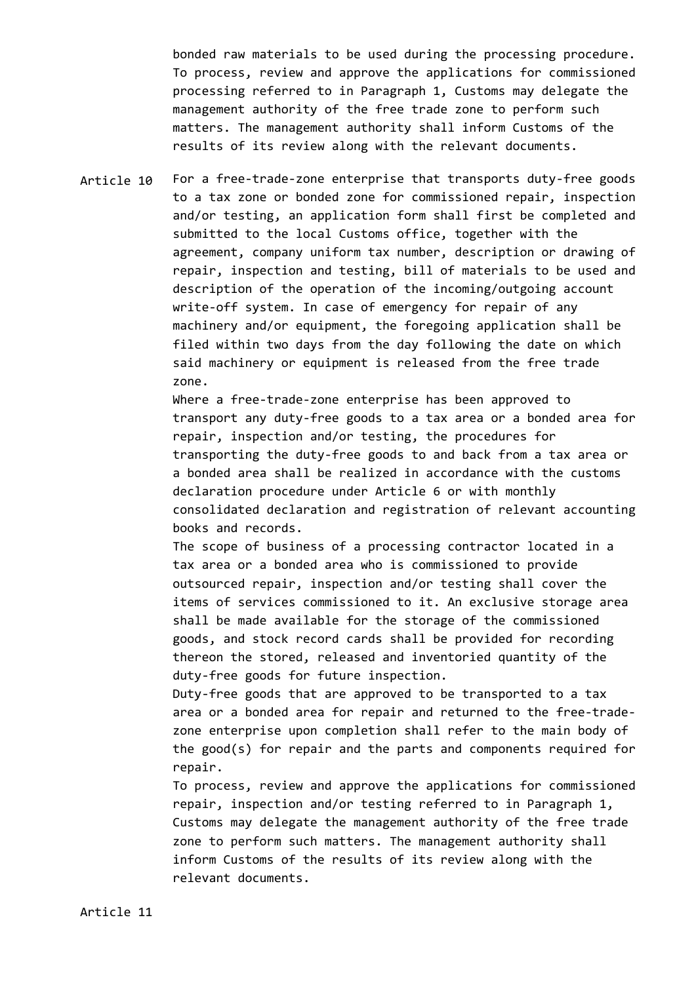bonded raw materials to be used during the processing procedure. To process, review and approve the applications for commissioned processing referred to in Paragraph 1, Customs may delegate the management authority of the free trade zone to perform such matters. The management authority shall inform Customs of the results of its review along with the relevant documents.

Article 10 For a free-trade-zone enterprise that transports duty-free goods to a tax zone or bonded zone for commissioned repair, inspection and/or testing, an application form shall first be completed and submitted to the local Customs office, together with the agreement, company uniform tax number, description or drawing of repair, inspection and testing, bill of materials to be used and description of the operation of the incoming/outgoing account write-off system. In case of emergency for repair of any machinery and/or equipment, the foregoing application shall be filed within two days from the day following the date on which said machinery or equipment is released from the free trade zone.

> Where a free-trade-zone enterprise has been approved to transport any duty-free goods to a tax area or a bonded area for repair, inspection and/or testing, the procedures for transporting the duty-free goods to and back from a tax area or a bonded area shall be realized in accordance with the customs declaration procedure under Article 6 or with monthly consolidated declaration and registration of relevant accounting books and records.

The scope of business of a processing contractor located in a tax area or a bonded area who is commissioned to provide outsourced repair, inspection and/or testing shall cover the items of services commissioned to it. An exclusive storage area shall be made available for the storage of the commissioned goods, and stock record cards shall be provided for recording thereon the stored, released and inventoried quantity of the duty-free goods for future inspection.

Duty-free goods that are approved to be transported to a tax area or a bonded area for repair and returned to the free-tradezone enterprise upon completion shall refer to the main body of the good(s) for repair and the parts and components required for repair.

To process, review and approve the applications for commissioned repair, inspection and/or testing referred to in Paragraph 1, Customs may delegate the management authority of the free trade zone to perform such matters. The management authority shall inform Customs of the results of its review along with the relevant documents.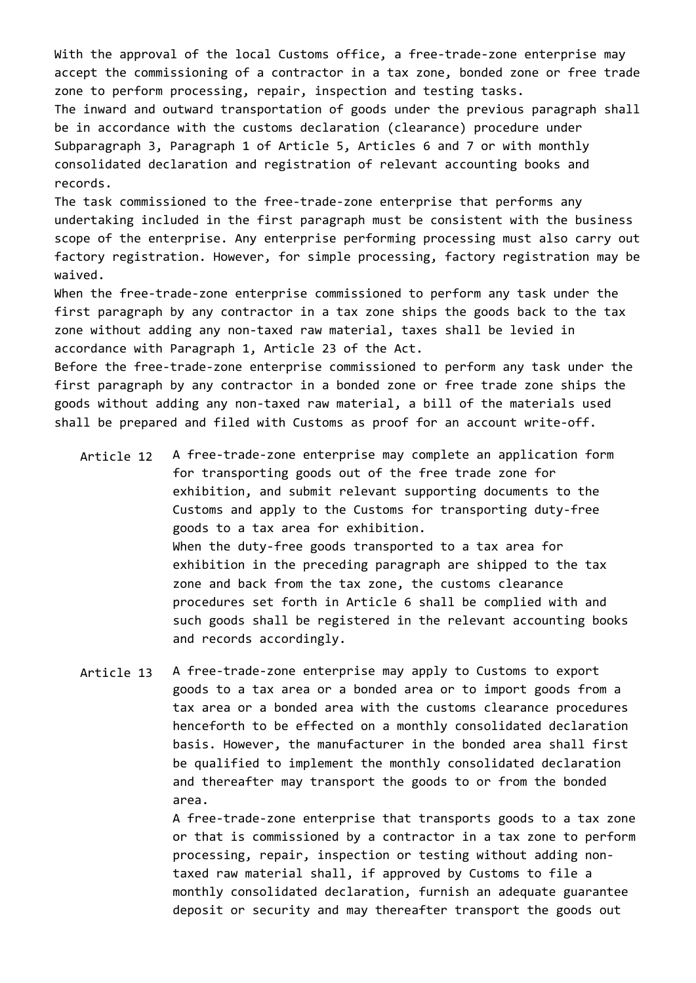With the approval of the local Customs office, a free-trade-zone enterprise may accept the commissioning of a contractor in a tax zone, bonded zone or free trade zone to perform processing, repair, inspection and testing tasks. The inward and outward transportation of goods under the previous paragraph shall be in accordance with the customs declaration (clearance) procedure under Subparagraph 3, Paragraph 1 of Article 5, Articles 6 and 7 or with monthly consolidated declaration and registration of relevant accounting books and records.

The task commissioned to the free-trade-zone enterprise that performs any undertaking included in the first paragraph must be consistent with the business scope of the enterprise. Any enterprise performing processing must also carry out factory registration. However, for simple processing, factory registration may be waived.

When the free-trade-zone enterprise commissioned to perform any task under the first paragraph by any contractor in a tax zone ships the goods back to the tax zone without adding any non-taxed raw material, taxes shall be levied in accordance with Paragraph 1, Article 23 of the Act.

Before the free-trade-zone enterprise commissioned to perform any task under the first paragraph by any contractor in a bonded zone or free trade zone ships the goods without adding any non-taxed raw material, a bill of the materials used shall be prepared and filed with Customs as proof for an account write-off.

- Article 12 A free-trade-zone enterprise may complete an application form for transporting goods out of the free trade zone for exhibition, and submit relevant supporting documents to the Customs and apply to the Customs for transporting duty-free goods to a tax area for exhibition. When the duty-free goods transported to a tax area for exhibition in the preceding paragraph are shipped to the tax zone and back from the tax zone, the customs clearance procedures set forth in Article 6 shall be complied with and such goods shall be registered in the relevant accounting books and records accordingly.
- Article 13 A free-trade-zone enterprise may apply to Customs to export goods to a tax area or a bonded area or to import goods from a tax area or a bonded area with the customs clearance procedures henceforth to be effected on a monthly consolidated declaration basis. However, the manufacturer in the bonded area shall first be qualified to implement the monthly consolidated declaration and thereafter may transport the goods to or from the bonded area.

A free-trade-zone enterprise that transports goods to a tax zone or that is commissioned by a contractor in a tax zone to perform processing, repair, inspection or testing without adding nontaxed raw material shall, if approved by Customs to file a monthly consolidated declaration, furnish an adequate guarantee deposit or security and may thereafter transport the goods out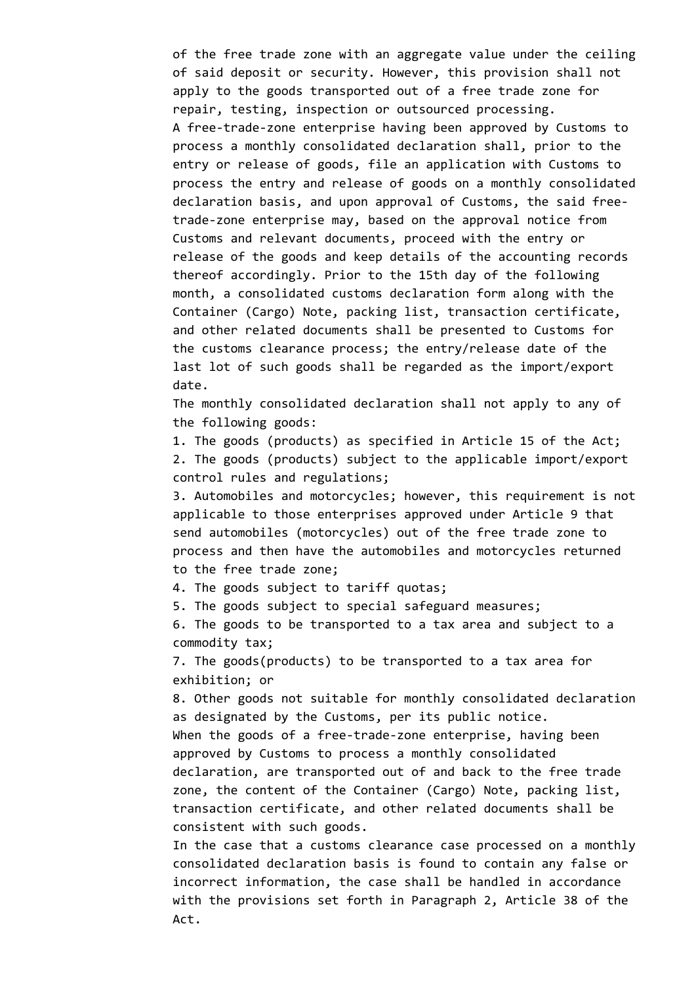of the free trade zone with an aggregate value under the ceiling of said deposit or security. However, this provision shall not apply to the goods transported out of a free trade zone for repair, testing, inspection or outsourced processing. A free-trade-zone enterprise having been approved by Customs to process a monthly consolidated declaration shall, prior to the entry or release of goods, file an application with Customs to process the entry and release of goods on a monthly consolidated declaration basis, and upon approval of Customs, the said freetrade-zone enterprise may, based on the approval notice from Customs and relevant documents, proceed with the entry or release of the goods and keep details of the accounting records thereof accordingly. Prior to the 15th day of the following month, a consolidated customs declaration form along with the Container (Cargo) Note, packing list, transaction certificate, and other related documents shall be presented to Customs for the customs clearance process; the entry/release date of the last lot of such goods shall be regarded as the import/export date.

The monthly consolidated declaration shall not apply to any of the following goods:

1. The goods (products) as specified in Article 15 of the Act; 2. The goods (products) subject to the applicable import/export control rules and regulations;

3. Automobiles and motorcycles; however, this requirement is not applicable to those enterprises approved under Article 9 that send automobiles (motorcycles) out of the free trade zone to process and then have the automobiles and motorcycles returned to the free trade zone;

4. The goods subject to tariff quotas;

5. The goods subject to special safeguard measures;

6. The goods to be transported to a tax area and subject to a commodity tax;

7. The goods(products) to be transported to a tax area for exhibition; or

8. Other goods not suitable for monthly consolidated declaration as designated by the Customs, per its public notice. When the goods of a free-trade-zone enterprise, having been approved by Customs to process a monthly consolidated declaration, are transported out of and back to the free trade zone, the content of the Container (Cargo) Note, packing list, transaction certificate, and other related documents shall be consistent with such goods.

In the case that a customs clearance case processed on a monthly consolidated declaration basis is found to contain any false or incorrect information, the case shall be handled in accordance with the provisions set forth in Paragraph 2, Article 38 of the Act.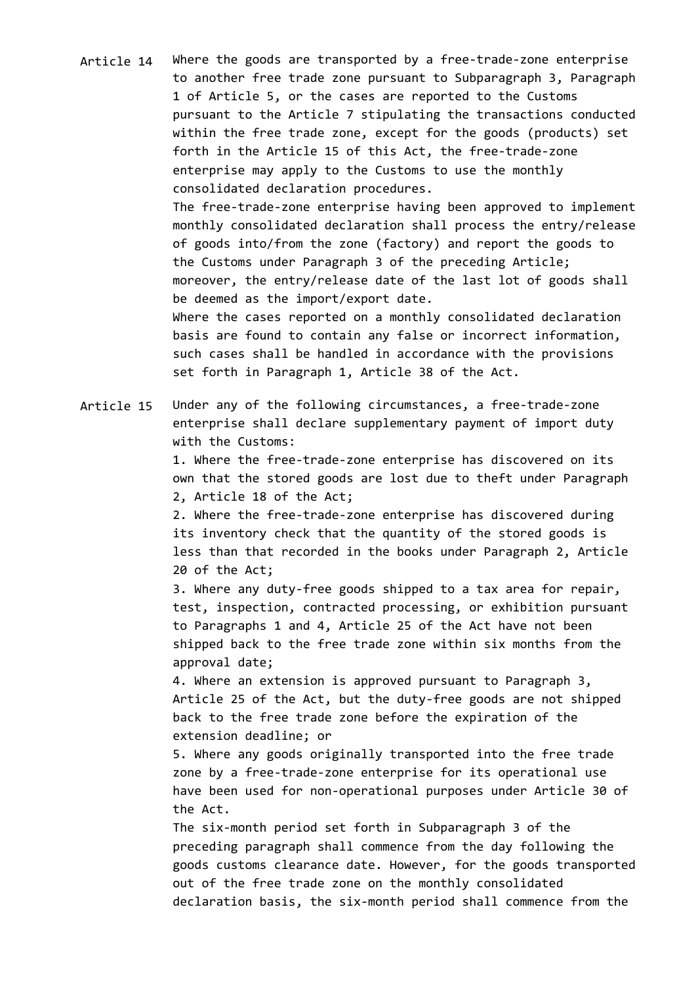- Article 14 Where the goods are transported by a free-trade-zone enterprise to another free trade zone pursuant to Subparagraph 3, Paragraph 1 of Article 5, or the cases are reported to the Customs pursuant to the Article 7 stipulating the transactions conducted within the free trade zone, except for the goods (products) set forth in the Article 15 of this Act, the free-trade-zone enterprise may apply to the Customs to use the monthly consolidated declaration procedures. The free-trade-zone enterprise having been approved to implement monthly consolidated declaration shall process the entry/release of goods into/from the zone (factory) and report the goods to the Customs under Paragraph 3 of the preceding Article; moreover, the entry/release date of the last lot of goods shall be deemed as the import/export date. Where the cases reported on a monthly consolidated declaration basis are found to contain any false or incorrect information, such cases shall be handled in accordance with the provisions set forth in Paragraph 1, Article 38 of the Act.
- Article 15 Under any of the following circumstances, a free-trade-zone enterprise shall declare supplementary payment of import duty with the Customs:

1. Where the free-trade-zone enterprise has discovered on its own that the stored goods are lost due to theft under Paragraph 2, Article 18 of the Act;

2. Where the free-trade-zone enterprise has discovered during its inventory check that the quantity of the stored goods is less than that recorded in the books under Paragraph 2, Article 20 of the Act;

3. Where any duty-free goods shipped to a tax area for repair, test, inspection, contracted processing, or exhibition pursuant to Paragraphs 1 and 4, Article 25 of the Act have not been shipped back to the free trade zone within six months from the approval date;

4. Where an extension is approved pursuant to Paragraph 3, Article 25 of the Act, but the duty-free goods are not shipped back to the free trade zone before the expiration of the extension deadline; or

5. Where any goods originally transported into the free trade zone by a free-trade-zone enterprise for its operational use have been used for non-operational purposes under Article 30 of the Act.

The six-month period set forth in Subparagraph 3 of the preceding paragraph shall commence from the day following the goods customs clearance date. However, for the goods transported out of the free trade zone on the monthly consolidated declaration basis, the six-month period shall commence from the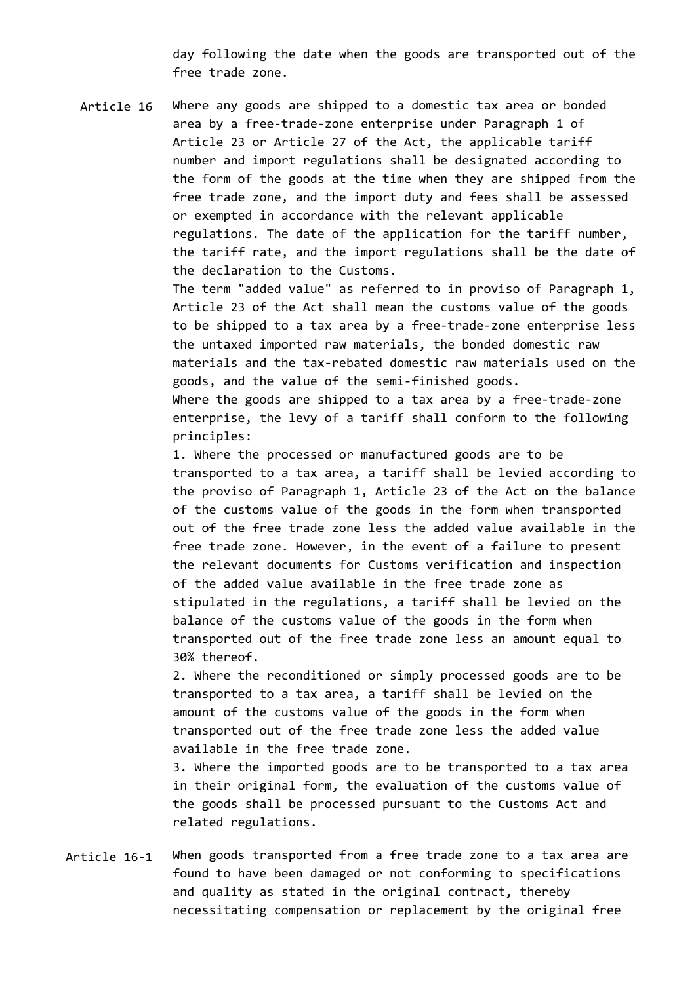day following the date when the goods are transported out of the free trade zone.

Article 16 Where any goods are shipped to a domestic tax area or bonded area by a free-trade-zone enterprise under Paragraph 1 of Article 23 or Article 27 of the Act, the applicable tariff number and import regulations shall be designated according to the form of the goods at the time when they are shipped from the free trade zone, and the import duty and fees shall be assessed or exempted in accordance with the relevant applicable regulations. The date of the application for the tariff number, the tariff rate, and the import regulations shall be the date of the declaration to the Customs.

> The term "added value" as referred to in proviso of Paragraph 1, Article 23 of the Act shall mean the customs value of the goods to be shipped to a tax area by a free-trade-zone enterprise less the untaxed imported raw materials, the bonded domestic raw materials and the tax-rebated domestic raw materials used on the goods, and the value of the semi-finished goods. Where the goods are shipped to a tax area by a free-trade-zone

enterprise, the levy of a tariff shall conform to the following principles:

1. Where the processed or manufactured goods are to be transported to a tax area, a tariff shall be levied according to the proviso of Paragraph 1, Article 23 of the Act on the balance of the customs value of the goods in the form when transported out of the free trade zone less the added value available in the free trade zone. However, in the event of a failure to present the relevant documents for Customs verification and inspection of the added value available in the free trade zone as stipulated in the regulations, a tariff shall be levied on the balance of the customs value of the goods in the form when transported out of the free trade zone less an amount equal to 30% thereof.

2. Where the reconditioned or simply processed goods are to be transported to a tax area, a tariff shall be levied on the amount of the customs value of the goods in the form when transported out of the free trade zone less the added value available in the free trade zone.

3. Where the imported goods are to be transported to a tax area in their original form, the evaluation of the customs value of the goods shall be processed pursuant to the Customs Act and related regulations.

Article 16-1 When goods transported from a free trade zone to a tax area are found to have been damaged or not conforming to specifications and quality as stated in the original contract, thereby necessitating compensation or replacement by the original free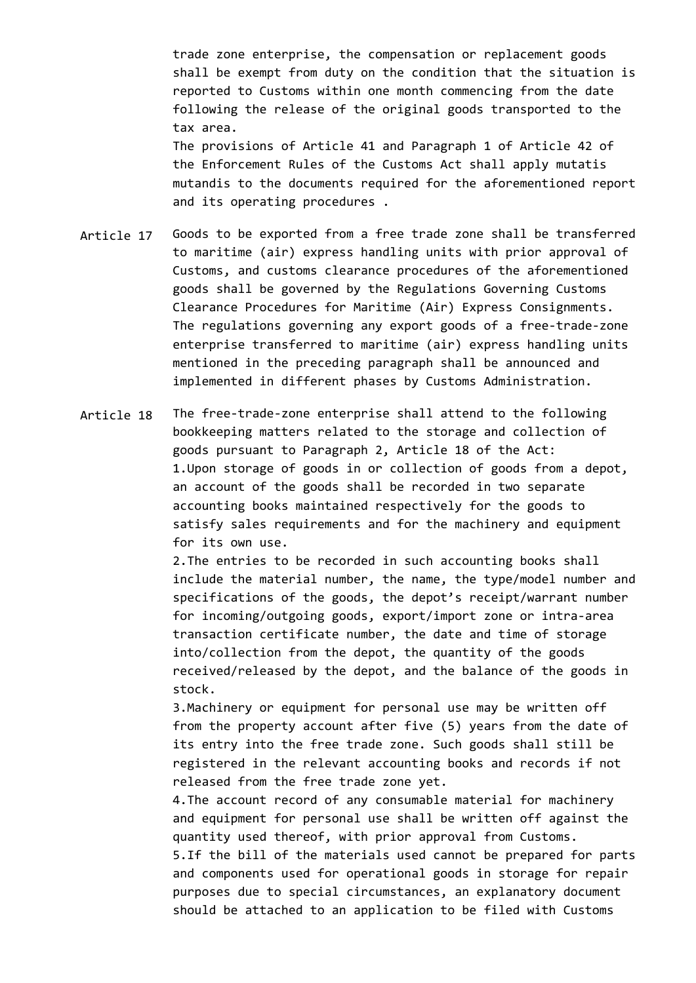trade zone enterprise, the compensation or replacement goods shall be exempt from duty on the condition that the situation is reported to Customs within one month commencing from the date following the release of the original goods transported to the tax area. The provisions of Article 41 and Paragraph 1 of Article 42 of the Enforcement Rules of the Customs Act shall apply mutatis mutandis to the documents required for the aforementioned report

Article 17 Goods to be exported from a free trade zone shall be transferred to maritime (air) express handling units with prior approval of Customs, and customs clearance procedures of the aforementioned goods shall be governed by the Regulations Governing Customs Clearance Procedures for Maritime (Air) Express Consignments. The regulations governing any export goods of a free-trade-zone enterprise transferred to maritime (air) express handling units mentioned in the preceding paragraph shall be announced and implemented in different phases by Customs Administration.

and its operating procedures .

Article 18 The free-trade-zone enterprise shall attend to the following bookkeeping matters related to the storage and collection of goods pursuant to Paragraph 2, Article 18 of the Act: 1.Upon storage of goods in or collection of goods from a depot, an account of the goods shall be recorded in two separate accounting books maintained respectively for the goods to satisfy sales requirements and for the machinery and equipment for its own use.

> 2.The entries to be recorded in such accounting books shall include the material number, the name, the type/model number and specifications of the goods, the depot's receipt/warrant number for incoming/outgoing goods, export/import zone or intra-area transaction certificate number, the date and time of storage into/collection from the depot, the quantity of the goods received/released by the depot, and the balance of the goods in stock.

3.Machinery or equipment for personal use may be written off from the property account after five (5) years from the date of its entry into the free trade zone. Such goods shall still be registered in the relevant accounting books and records if not released from the free trade zone yet.

4.The account record of any consumable material for machinery and equipment for personal use shall be written off against the quantity used thereof, with prior approval from Customs. 5.If the bill of the materials used cannot be prepared for parts and components used for operational goods in storage for repair purposes due to special circumstances, an explanatory document should be attached to an application to be filed with Customs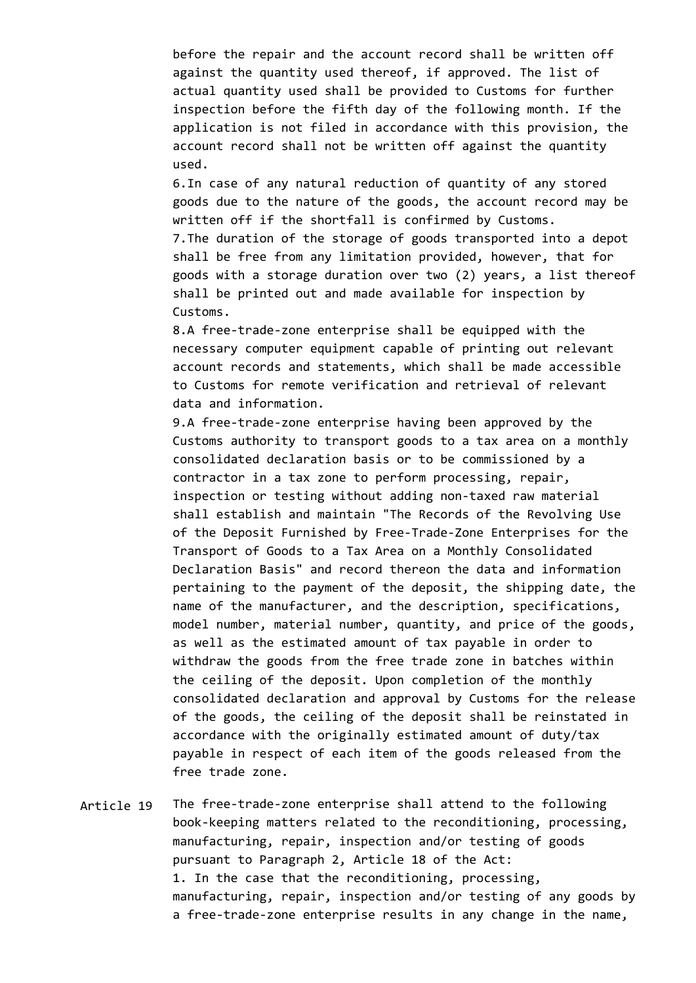before the repair and the account record shall be written off against the quantity used thereof, if approved. The list of actual quantity used shall be provided to Customs for further inspection before the fifth day of the following month. If the application is not filed in accordance with this provision, the account record shall not be written off against the quantity used.

6.In case of any natural reduction of quantity of any stored goods due to the nature of the goods, the account record may be written off if the shortfall is confirmed by Customs. 7.The duration of the storage of goods transported into a depot shall be free from any limitation provided, however, that for goods with a storage duration over two (2) years, a list thereof shall be printed out and made available for inspection by Customs.

8.A free-trade-zone enterprise shall be equipped with the necessary computer equipment capable of printing out relevant account records and statements, which shall be made accessible to Customs for remote verification and retrieval of relevant data and information.

9.A free-trade-zone enterprise having been approved by the Customs authority to transport goods to a tax area on a monthly consolidated declaration basis or to be commissioned by a contractor in a tax zone to perform processing, repair, inspection or testing without adding non-taxed raw material shall establish and maintain "The Records of the Revolving Use of the Deposit Furnished by Free-Trade-Zone Enterprises for the Transport of Goods to a Tax Area on a Monthly Consolidated Declaration Basis" and record thereon the data and information pertaining to the payment of the deposit, the shipping date, the name of the manufacturer, and the description, specifications, model number, material number, quantity, and price of the goods, as well as the estimated amount of tax payable in order to withdraw the goods from the free trade zone in batches within the ceiling of the deposit. Upon completion of the monthly consolidated declaration and approval by Customs for the release of the goods, the ceiling of the deposit shall be reinstated in accordance with the originally estimated amount of duty/tax payable in respect of each item of the goods released from the free trade zone.

Article 19 The free-trade-zone enterprise shall attend to the following book-keeping matters related to the reconditioning, processing, manufacturing, repair, inspection and/or testing of goods pursuant to Paragraph 2, Article 18 of the Act: 1. In the case that the reconditioning, processing, manufacturing, repair, inspection and/or testing of any goods by a free-trade-zone enterprise results in any change in the name,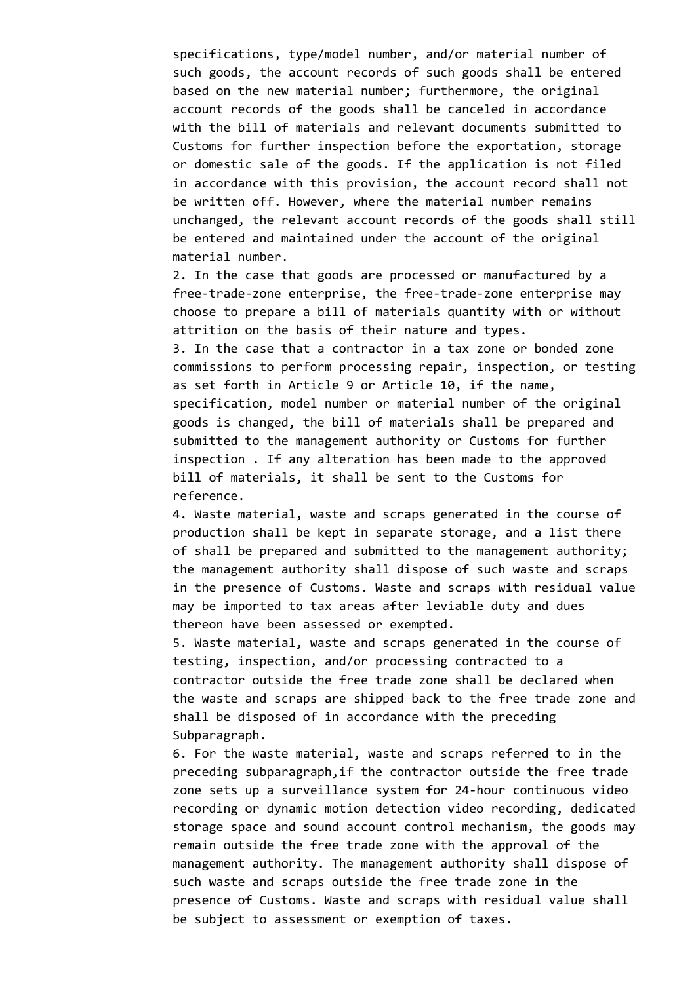specifications, type/model number, and/or material number of such goods, the account records of such goods shall be entered based on the new material number; furthermore, the original account records of the goods shall be canceled in accordance with the bill of materials and relevant documents submitted to Customs for further inspection before the exportation, storage or domestic sale of the goods. If the application is not filed in accordance with this provision, the account record shall not be written off. However, where the material number remains unchanged, the relevant account records of the goods shall still be entered and maintained under the account of the original material number.

2. In the case that goods are processed or manufactured by a free-trade-zone enterprise, the free-trade-zone enterprise may choose to prepare a bill of materials quantity with or without attrition on the basis of their nature and types.

3. In the case that a contractor in a tax zone or bonded zone commissions to perform processing repair, inspection, or testing as set forth in Article 9 or Article 10, if the name, specification, model number or material number of the original goods is changed, the bill of materials shall be prepared and submitted to the management authority or Customs for further inspection . If any alteration has been made to the approved bill of materials, it shall be sent to the Customs for reference.

4. Waste material, waste and scraps generated in the course of production shall be kept in separate storage, and a list there of shall be prepared and submitted to the management authority; the management authority shall dispose of such waste and scraps in the presence of Customs. Waste and scraps with residual value may be imported to tax areas after leviable duty and dues thereon have been assessed or exempted.

5. Waste material, waste and scraps generated in the course of testing, inspection, and/or processing contracted to a contractor outside the free trade zone shall be declared when the waste and scraps are shipped back to the free trade zone and shall be disposed of in accordance with the preceding Subparagraph.

6. For the waste material, waste and scraps referred to in the preceding subparagraph,if the contractor outside the free trade zone sets up a surveillance system for 24-hour continuous video recording or dynamic motion detection video recording, dedicated storage space and sound account control mechanism, the goods may remain outside the free trade zone with the approval of the management authority. The management authority shall dispose of such waste and scraps outside the free trade zone in the presence of Customs. Waste and scraps with residual value shall be subject to assessment or exemption of taxes.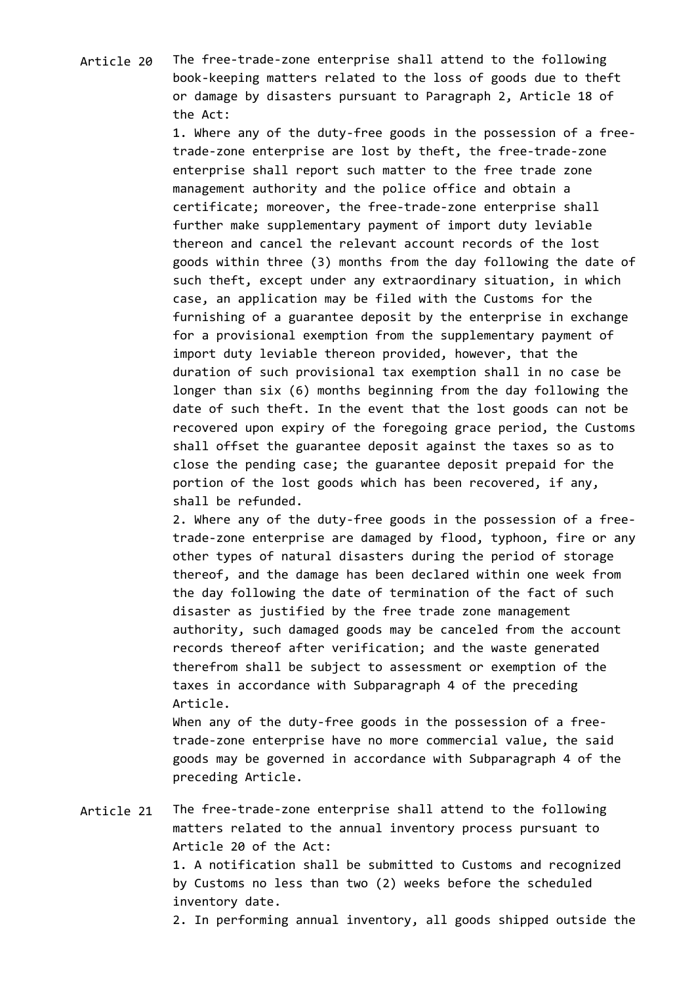Article 20 The free-trade-zone enterprise shall attend to the following book-keeping matters related to the loss of goods due to theft or damage by disasters pursuant to Paragraph 2, Article 18 of the Act:

> 1. Where any of the duty-free goods in the possession of a freetrade-zone enterprise are lost by theft, the free-trade-zone enterprise shall report such matter to the free trade zone management authority and the police office and obtain a certificate; moreover, the free-trade-zone enterprise shall further make supplementary payment of import duty leviable thereon and cancel the relevant account records of the lost goods within three (3) months from the day following the date of such theft, except under any extraordinary situation, in which case, an application may be filed with the Customs for the furnishing of a guarantee deposit by the enterprise in exchange for a provisional exemption from the supplementary payment of import duty leviable thereon provided, however, that the duration of such provisional tax exemption shall in no case be longer than six (6) months beginning from the day following the date of such theft. In the event that the lost goods can not be recovered upon expiry of the foregoing grace period, the Customs shall offset the guarantee deposit against the taxes so as to close the pending case; the guarantee deposit prepaid for the portion of the lost goods which has been recovered, if any, shall be refunded.

> 2. Where any of the duty-free goods in the possession of a freetrade-zone enterprise are damaged by flood, typhoon, fire or any other types of natural disasters during the period of storage thereof, and the damage has been declared within one week from the day following the date of termination of the fact of such disaster as justified by the free trade zone management authority, such damaged goods may be canceled from the account records thereof after verification; and the waste generated therefrom shall be subject to assessment or exemption of the taxes in accordance with Subparagraph 4 of the preceding Article.

When any of the duty-free goods in the possession of a freetrade-zone enterprise have no more commercial value, the said goods may be governed in accordance with Subparagraph 4 of the preceding Article.

Article 21 The free-trade-zone enterprise shall attend to the following matters related to the annual inventory process pursuant to Article 20 of the Act: 1. A notification shall be submitted to Customs and recognized by Customs no less than two (2) weeks before the scheduled inventory date.

2. In performing annual inventory, all goods shipped outside the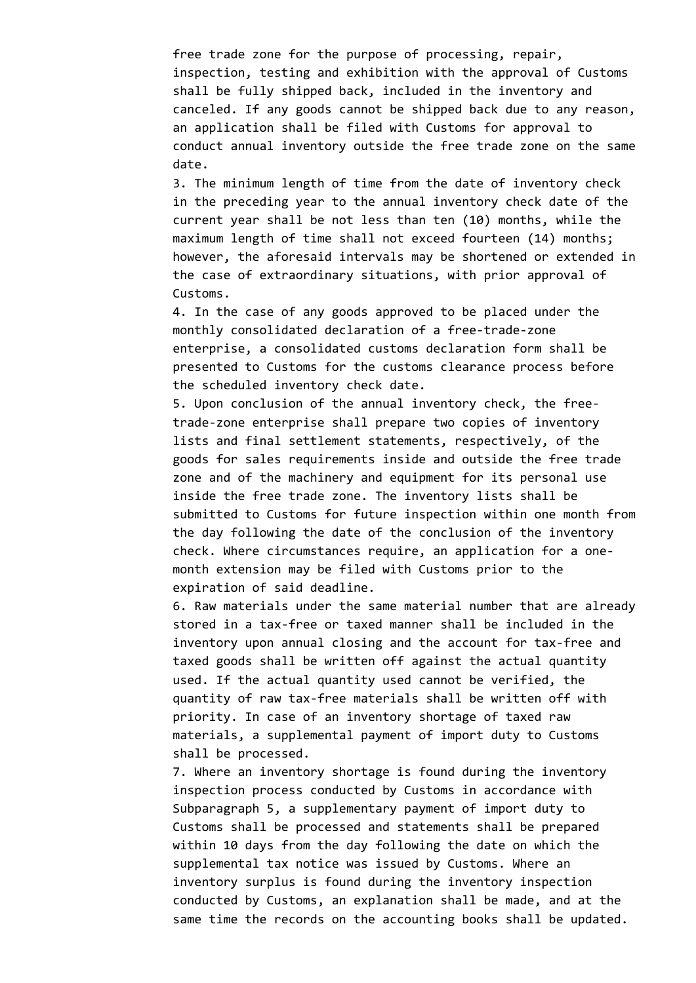free trade zone for the purpose of processing, repair, inspection, testing and exhibition with the approval of Customs shall be fully shipped back, included in the inventory and canceled. If any goods cannot be shipped back due to any reason, an application shall be filed with Customs for approval to conduct annual inventory outside the free trade zone on the same date.

3. The minimum length of time from the date of inventory check in the preceding year to the annual inventory check date of the current year shall be not less than ten (10) months, while the maximum length of time shall not exceed fourteen (14) months; however, the aforesaid intervals may be shortened or extended in the case of extraordinary situations, with prior approval of Customs.

4. In the case of any goods approved to be placed under the monthly consolidated declaration of a free-trade-zone enterprise, a consolidated customs declaration form shall be presented to Customs for the customs clearance process before the scheduled inventory check date.

5. Upon conclusion of the annual inventory check, the freetrade-zone enterprise shall prepare two copies of inventory lists and final settlement statements, respectively, of the goods for sales requirements inside and outside the free trade zone and of the machinery and equipment for its personal use inside the free trade zone. The inventory lists shall be submitted to Customs for future inspection within one month from the day following the date of the conclusion of the inventory check. Where circumstances require, an application for a onemonth extension may be filed with Customs prior to the expiration of said deadline.

6. Raw materials under the same material number that are already stored in a tax-free or taxed manner shall be included in the inventory upon annual closing and the account for tax-free and taxed goods shall be written off against the actual quantity used. If the actual quantity used cannot be verified, the quantity of raw tax-free materials shall be written off with priority. In case of an inventory shortage of taxed raw materials, a supplemental payment of import duty to Customs shall be processed.

7. Where an inventory shortage is found during the inventory inspection process conducted by Customs in accordance with Subparagraph 5, a supplementary payment of import duty to Customs shall be processed and statements shall be prepared within 10 days from the day following the date on which the supplemental tax notice was issued by Customs. Where an inventory surplus is found during the inventory inspection conducted by Customs, an explanation shall be made, and at the same time the records on the accounting books shall be updated.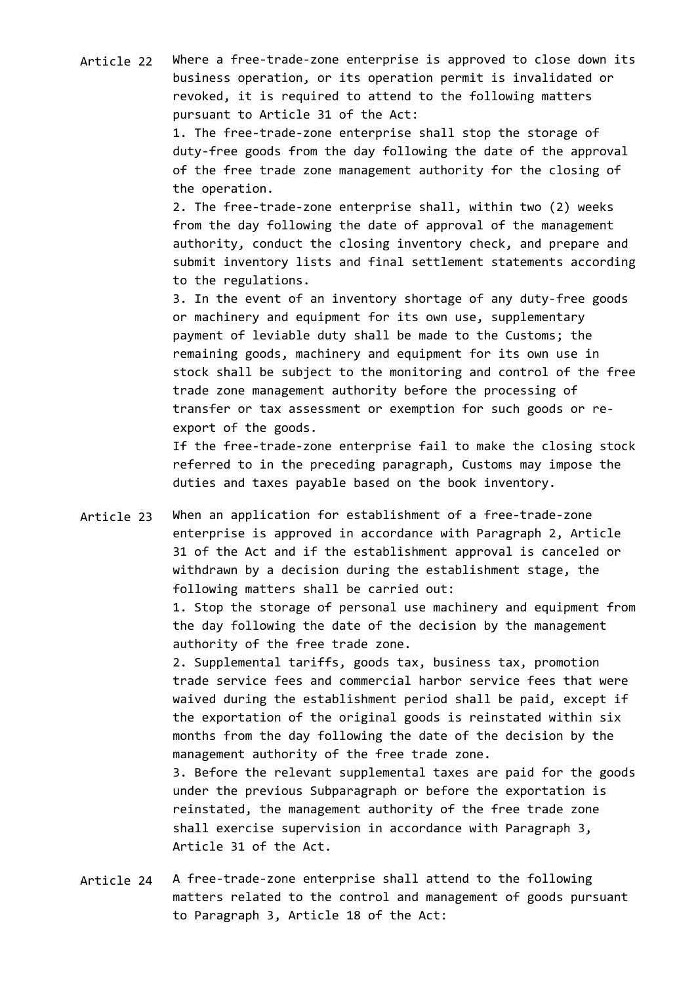Article 22 Where a free-trade-zone enterprise is approved to close down its business operation, or its operation permit is invalidated or revoked, it is required to attend to the following matters pursuant to Article 31 of the Act:

> 1. The free-trade-zone enterprise shall stop the storage of duty-free goods from the day following the date of the approval of the free trade zone management authority for the closing of the operation.

2. The free-trade-zone enterprise shall, within two (2) weeks from the day following the date of approval of the management authority, conduct the closing inventory check, and prepare and submit inventory lists and final settlement statements according to the regulations.

3. In the event of an inventory shortage of any duty-free goods or machinery and equipment for its own use, supplementary payment of leviable duty shall be made to the Customs; the remaining goods, machinery and equipment for its own use in stock shall be subject to the monitoring and control of the free trade zone management authority before the processing of transfer or tax assessment or exemption for such goods or reexport of the goods.

If the free-trade-zone enterprise fail to make the closing stock referred to in the preceding paragraph, Customs may impose the duties and taxes payable based on the book inventory.

Article 23 When an application for establishment of a free-trade-zone enterprise is approved in accordance with Paragraph 2, Article 31 of the Act and if the establishment approval is canceled or withdrawn by a decision during the establishment stage, the following matters shall be carried out:

> 1. Stop the storage of personal use machinery and equipment from the day following the date of the decision by the management authority of the free trade zone.

2. Supplemental tariffs, goods tax, business tax, promotion trade service fees and commercial harbor service fees that were waived during the establishment period shall be paid, except if the exportation of the original goods is reinstated within six months from the day following the date of the decision by the management authority of the free trade zone.

3. Before the relevant supplemental taxes are paid for the goods under the previous Subparagraph or before the exportation is reinstated, the management authority of the free trade zone shall exercise supervision in accordance with Paragraph 3, Article 31 of the Act.

Article 24 A free-trade-zone enterprise shall attend to the following matters related to the control and management of goods pursuant to Paragraph 3, Article 18 of the Act: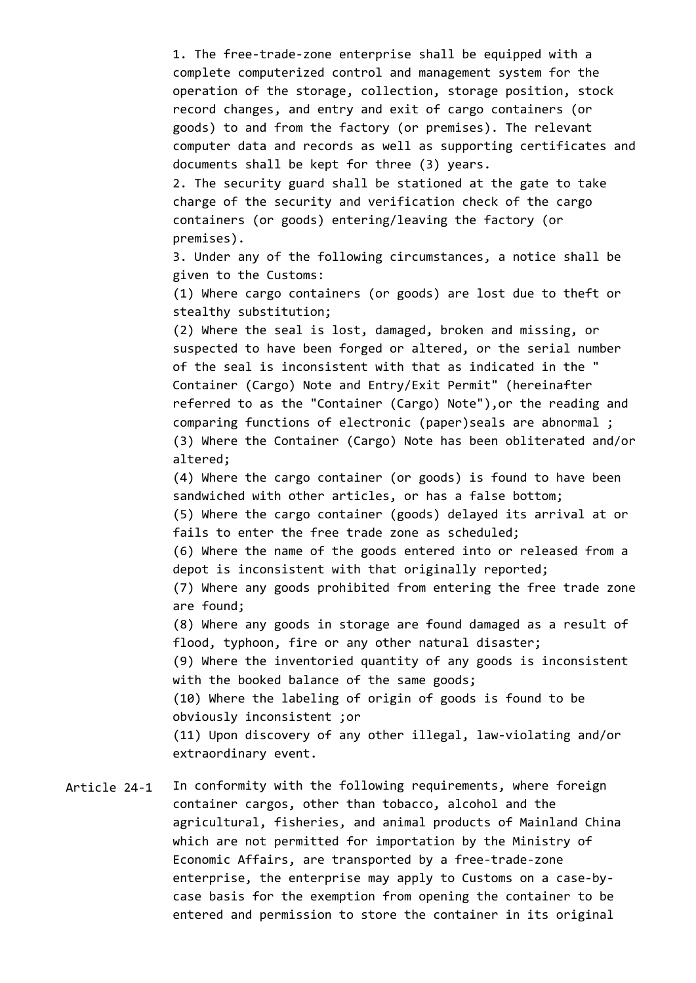1. The free-trade-zone enterprise shall be equipped with a complete computerized control and management system for the operation of the storage, collection, storage position, stock record changes, and entry and exit of cargo containers (or goods) to and from the factory (or premises). The relevant computer data and records as well as supporting certificates and documents shall be kept for three (3) years.

2. The security guard shall be stationed at the gate to take charge of the security and verification check of the cargo containers (or goods) entering/leaving the factory (or premises).

3. Under any of the following circumstances, a notice shall be given to the Customs:

(1) Where cargo containers (or goods) are lost due to theft or stealthy substitution;

(2) Where the seal is lost, damaged, broken and missing, or suspected to have been forged or altered, or the serial number of the seal is inconsistent with that as indicated in the " Container (Cargo) Note and Entry/Exit Permit" (hereinafter referred to as the "Container (Cargo) Note"),or the reading and comparing functions of electronic (paper)seals are abnormal ; (3) Where the Container (Cargo) Note has been obliterated and/or altered;

(4) Where the cargo container (or goods) is found to have been sandwiched with other articles, or has a false bottom; (5) Where the cargo container (goods) delayed its arrival at or

fails to enter the free trade zone as scheduled;

(6) Where the name of the goods entered into or released from a depot is inconsistent with that originally reported;

(7) Where any goods prohibited from entering the free trade zone are found;

(8) Where any goods in storage are found damaged as a result of flood, typhoon, fire or any other natural disaster; (9) Where the inventoried quantity of any goods is inconsistent

with the booked balance of the same goods;

(10) Where the labeling of origin of goods is found to be obviously inconsistent ;or

(11) Upon discovery of any other illegal, law-violating and/or extraordinary event.

Article 24-1 In conformity with the following requirements, where foreign container cargos, other than tobacco, alcohol and the agricultural, fisheries, and animal products of Mainland China which are not permitted for importation by the Ministry of Economic Affairs, are transported by a free-trade-zone enterprise, the enterprise may apply to Customs on a case-bycase basis for the exemption from opening the container to be entered and permission to store the container in its original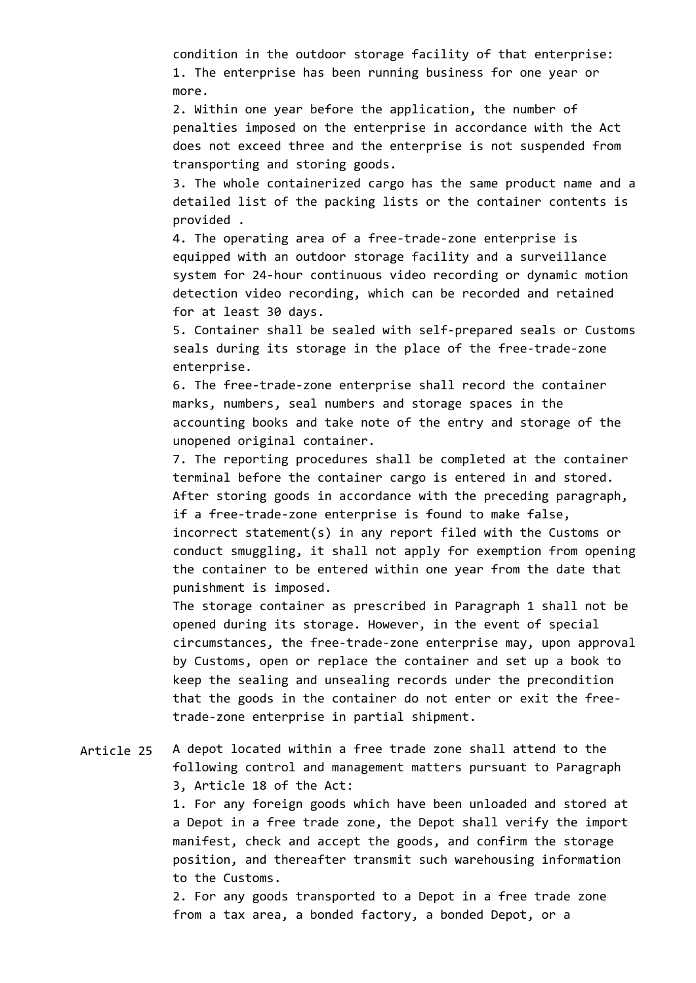condition in the outdoor storage facility of that enterprise: 1. The enterprise has been running business for one year or more.

2. Within one year before the application, the number of penalties imposed on the enterprise in accordance with the Act does not exceed three and the enterprise is not suspended from transporting and storing goods.

3. The whole containerized cargo has the same product name and a detailed list of the packing lists or the container contents is provided .

4. The operating area of a free-trade-zone enterprise is equipped with an outdoor storage facility and a surveillance system for 24-hour continuous video recording or dynamic motion detection video recording, which can be recorded and retained for at least 30 days.

5. Container shall be sealed with self-prepared seals or Customs seals during its storage in the place of the free-trade-zone enterprise.

6. The free-trade-zone enterprise shall record the container marks, numbers, seal numbers and storage spaces in the accounting books and take note of the entry and storage of the unopened original container.

7. The reporting procedures shall be completed at the container terminal before the container cargo is entered in and stored. After storing goods in accordance with the preceding paragraph, if a free-trade-zone enterprise is found to make false, incorrect statement(s) in any report filed with the Customs or conduct smuggling, it shall not apply for exemption from opening the container to be entered within one year from the date that punishment is imposed.

The storage container as prescribed in Paragraph 1 shall not be opened during its storage. However, in the event of special circumstances, the free-trade-zone enterprise may, upon approval by Customs, open or replace the container and set up a book to keep the sealing and unsealing records under the precondition that the goods in the container do not enter or exit the freetrade-zone enterprise in partial shipment.

## Article 25 A depot located within a free trade zone shall attend to the following control and management matters pursuant to Paragraph 3, Article 18 of the Act:

1. For any foreign goods which have been unloaded and stored at a Depot in a free trade zone, the Depot shall verify the import manifest, check and accept the goods, and confirm the storage position, and thereafter transmit such warehousing information to the Customs.

2. For any goods transported to a Depot in a free trade zone from a tax area, a bonded factory, a bonded Depot, or a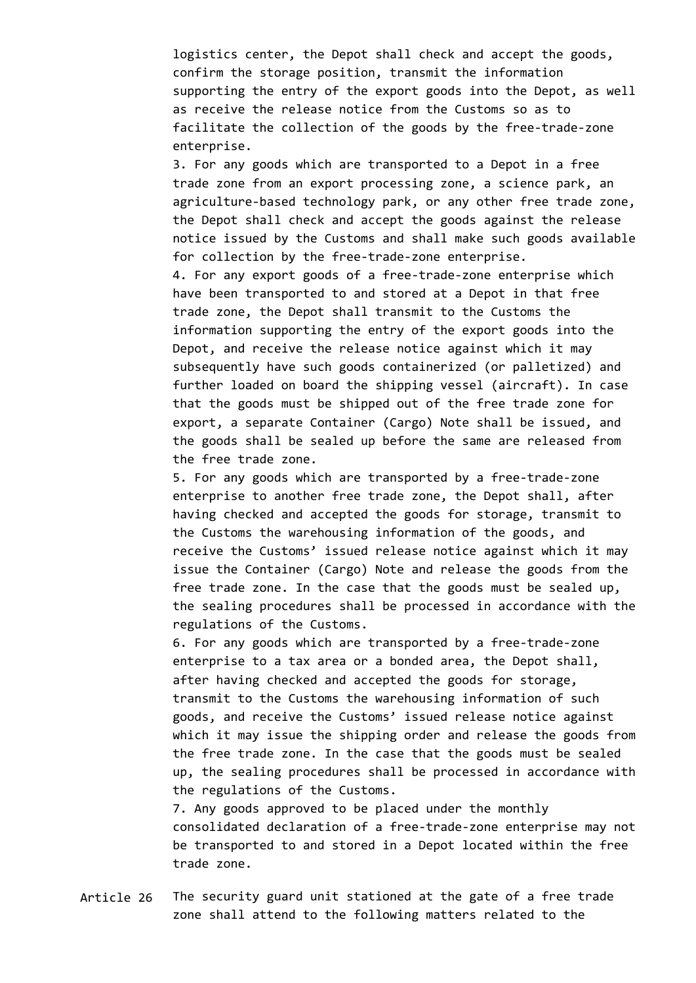logistics center, the Depot shall check and accept the goods, confirm the storage position, transmit the information supporting the entry of the export goods into the Depot, as well as receive the release notice from the Customs so as to facilitate the collection of the goods by the free-trade-zone enterprise.

3. For any goods which are transported to a Depot in a free trade zone from an export processing zone, a science park, an agriculture-based technology park, or any other free trade zone, the Depot shall check and accept the goods against the release notice issued by the Customs and shall make such goods available for collection by the free-trade-zone enterprise. 4. For any export goods of a free-trade-zone enterprise which have been transported to and stored at a Depot in that free trade zone, the Depot shall transmit to the Customs the information supporting the entry of the export goods into the Depot, and receive the release notice against which it may subsequently have such goods containerized (or palletized) and further loaded on board the shipping vessel (aircraft). In case that the goods must be shipped out of the free trade zone for export, a separate Container (Cargo) Note shall be issued, and the goods shall be sealed up before the same are released from the free trade zone.

5. For any goods which are transported by a free-trade-zone enterprise to another free trade zone, the Depot shall, after having checked and accepted the goods for storage, transmit to the Customs the warehousing information of the goods, and receive the Customs' issued release notice against which it may issue the Container (Cargo) Note and release the goods from the free trade zone. In the case that the goods must be sealed up, the sealing procedures shall be processed in accordance with the regulations of the Customs.

6. For any goods which are transported by a free-trade-zone enterprise to a tax area or a bonded area, the Depot shall, after having checked and accepted the goods for storage, transmit to the Customs the warehousing information of such goods, and receive the Customs' issued release notice against which it may issue the shipping order and release the goods from the free trade zone. In the case that the goods must be sealed up, the sealing procedures shall be processed in accordance with the regulations of the Customs.

7. Any goods approved to be placed under the monthly consolidated declaration of a free-trade-zone enterprise may not be transported to and stored in a Depot located within the free trade zone.

Article 26 The security guard unit stationed at the gate of a free trade zone shall attend to the following matters related to the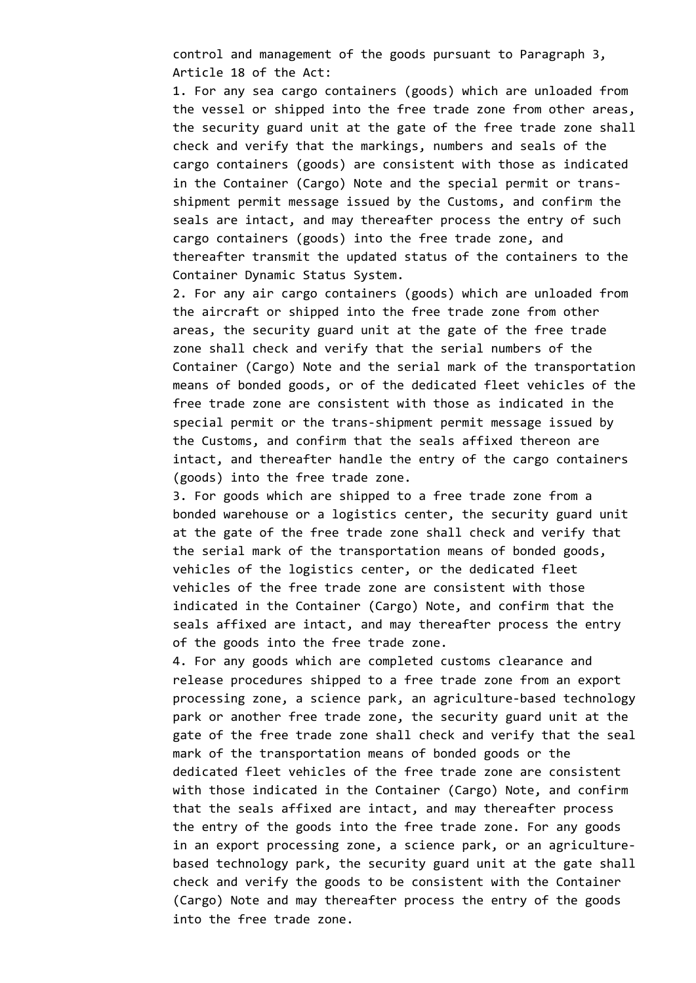control and management of the goods pursuant to Paragraph 3, Article 18 of the Act:

1. For any sea cargo containers (goods) which are unloaded from the vessel or shipped into the free trade zone from other areas, the security guard unit at the gate of the free trade zone shall check and verify that the markings, numbers and seals of the cargo containers (goods) are consistent with those as indicated in the Container (Cargo) Note and the special permit or transshipment permit message issued by the Customs, and confirm the seals are intact, and may thereafter process the entry of such cargo containers (goods) into the free trade zone, and thereafter transmit the updated status of the containers to the Container Dynamic Status System.

2. For any air cargo containers (goods) which are unloaded from the aircraft or shipped into the free trade zone from other areas, the security guard unit at the gate of the free trade zone shall check and verify that the serial numbers of the Container (Cargo) Note and the serial mark of the transportation means of bonded goods, or of the dedicated fleet vehicles of the free trade zone are consistent with those as indicated in the special permit or the trans-shipment permit message issued by the Customs, and confirm that the seals affixed thereon are intact, and thereafter handle the entry of the cargo containers (goods) into the free trade zone.

3. For goods which are shipped to a free trade zone from a bonded warehouse or a logistics center, the security guard unit at the gate of the free trade zone shall check and verify that the serial mark of the transportation means of bonded goods, vehicles of the logistics center, or the dedicated fleet vehicles of the free trade zone are consistent with those indicated in the Container (Cargo) Note, and confirm that the seals affixed are intact, and may thereafter process the entry of the goods into the free trade zone.

4. For any goods which are completed customs clearance and release procedures shipped to a free trade zone from an export processing zone, a science park, an agriculture-based technology park or another free trade zone, the security guard unit at the gate of the free trade zone shall check and verify that the seal mark of the transportation means of bonded goods or the dedicated fleet vehicles of the free trade zone are consistent with those indicated in the Container (Cargo) Note, and confirm that the seals affixed are intact, and may thereafter process the entry of the goods into the free trade zone. For any goods in an export processing zone, a science park, or an agriculturebased technology park, the security guard unit at the gate shall check and verify the goods to be consistent with the Container (Cargo) Note and may thereafter process the entry of the goods into the free trade zone.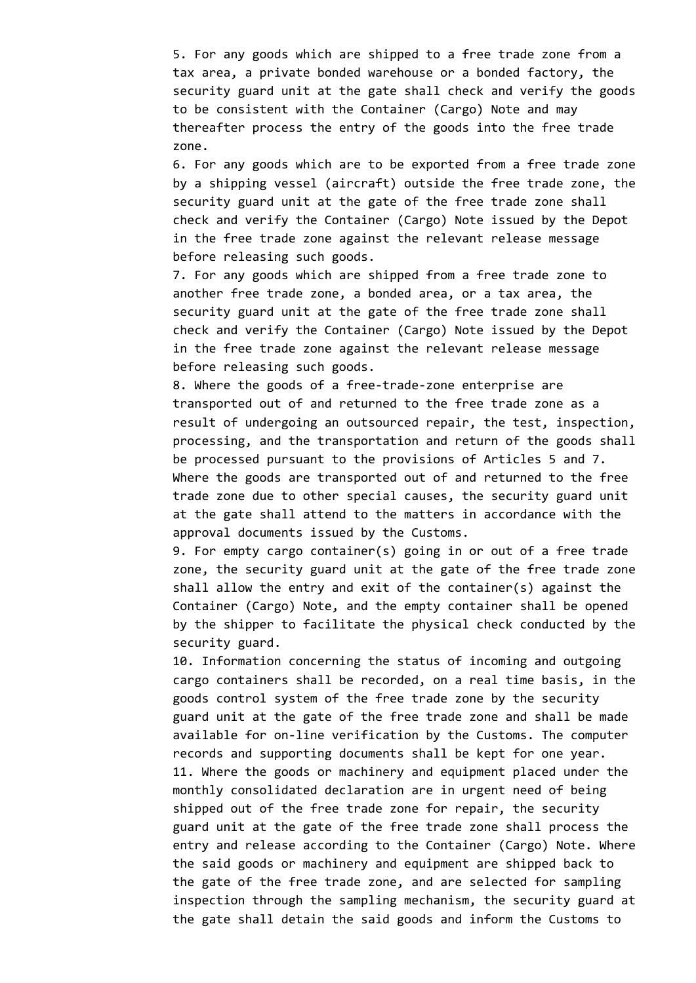5. For any goods which are shipped to a free trade zone from a tax area, a private bonded warehouse or a bonded factory, the security guard unit at the gate shall check and verify the goods to be consistent with the Container (Cargo) Note and may thereafter process the entry of the goods into the free trade zone.

6. For any goods which are to be exported from a free trade zone by a shipping vessel (aircraft) outside the free trade zone, the security guard unit at the gate of the free trade zone shall check and verify the Container (Cargo) Note issued by the Depot in the free trade zone against the relevant release message before releasing such goods.

7. For any goods which are shipped from a free trade zone to another free trade zone, a bonded area, or a tax area, the security guard unit at the gate of the free trade zone shall check and verify the Container (Cargo) Note issued by the Depot in the free trade zone against the relevant release message before releasing such goods.

8. Where the goods of a free-trade-zone enterprise are transported out of and returned to the free trade zone as a result of undergoing an outsourced repair, the test, inspection, processing, and the transportation and return of the goods shall be processed pursuant to the provisions of Articles 5 and 7. Where the goods are transported out of and returned to the free trade zone due to other special causes, the security guard unit at the gate shall attend to the matters in accordance with the approval documents issued by the Customs.

9. For empty cargo container(s) going in or out of a free trade zone, the security guard unit at the gate of the free trade zone shall allow the entry and exit of the container(s) against the Container (Cargo) Note, and the empty container shall be opened by the shipper to facilitate the physical check conducted by the security guard.

10. Information concerning the status of incoming and outgoing cargo containers shall be recorded, on a real time basis, in the goods control system of the free trade zone by the security guard unit at the gate of the free trade zone and shall be made available for on-line verification by the Customs. The computer records and supporting documents shall be kept for one year. 11. Where the goods or machinery and equipment placed under the monthly consolidated declaration are in urgent need of being shipped out of the free trade zone for repair, the security guard unit at the gate of the free trade zone shall process the entry and release according to the Container (Cargo) Note. Where the said goods or machinery and equipment are shipped back to the gate of the free trade zone, and are selected for sampling inspection through the sampling mechanism, the security guard at the gate shall detain the said goods and inform the Customs to